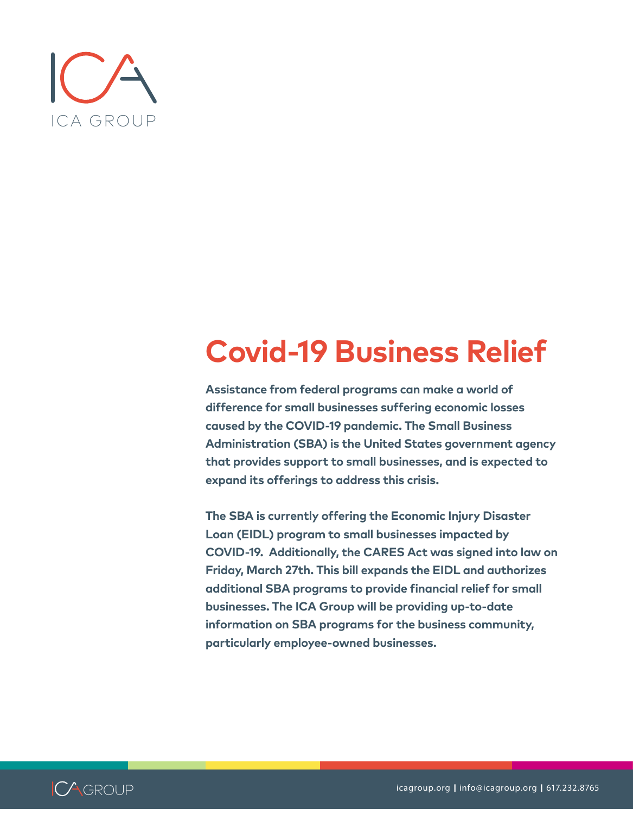

## **Covid-19 Business Relief**

**Assistance from federal programs can make a world of difference for small businesses suffering economic losses caused by the COVID-19 pandemic. The Small Business Administration (SBA) is the United States government agency that provides support to small businesses, and is expected to expand its offerings to address this crisis.** 

**The SBA is currently offering the Economic Injury Disaster Loan (EIDL) program to small businesses impacted by COVID-19. Additionally, the CARES Act was signed into law on Friday, March 27th. This bill expands the EIDL and authorizes additional SBA programs to provide financial relief for small businesses. The ICA Group will be providing up-to-date information on SBA programs for the business community, particularly employee-owned businesses.** 

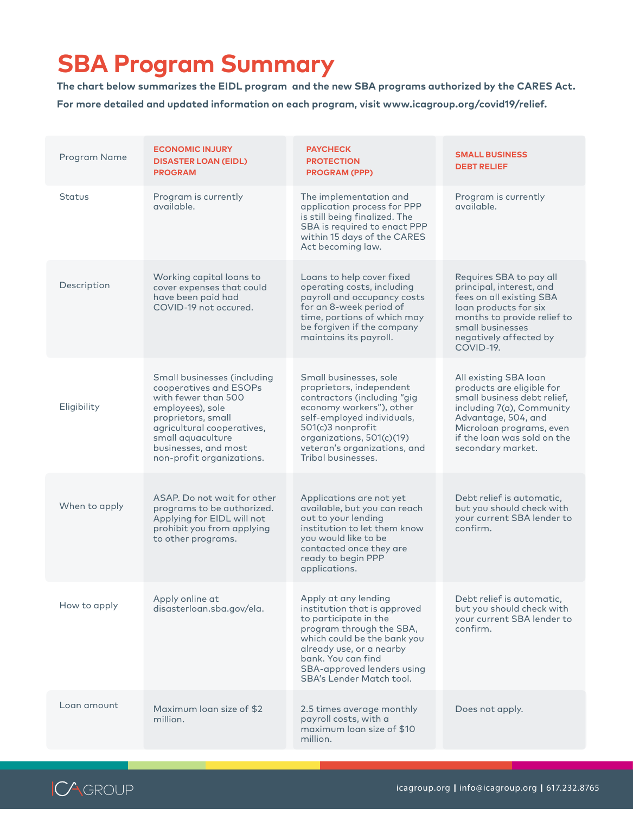## **SBA Program Summary**

**The chart below summarizes the EIDL program and the new SBA programs authorized by the CARES Act. For more detailed and updated information on each program, visit www.icagroup.org/covid19/relief.** 

| Program Name  | <b>ECONOMIC INJURY</b><br><b>DISASTER LOAN (EIDL)</b><br><b>PROGRAM</b>                                                                                                                                                        | <b>PAYCHECK</b><br><b>PROTECTION</b><br><b>PROGRAM (PPP)</b>                                                                                                                                                                                                | <b>SMALL BUSINESS</b><br><b>DEBT RELIEF</b>                                                                                                                                                                           |
|---------------|--------------------------------------------------------------------------------------------------------------------------------------------------------------------------------------------------------------------------------|-------------------------------------------------------------------------------------------------------------------------------------------------------------------------------------------------------------------------------------------------------------|-----------------------------------------------------------------------------------------------------------------------------------------------------------------------------------------------------------------------|
| <b>Status</b> | Program is currently<br>available.                                                                                                                                                                                             | The implementation and<br>application process for PPP<br>is still being finalized. The<br>SBA is required to enact PPP<br>within 15 days of the CARES<br>Act becoming law.                                                                                  | Program is currently<br>available.                                                                                                                                                                                    |
| Description   | Working capital loans to<br>cover expenses that could<br>have been paid had<br>COVID-19 not occured.                                                                                                                           | Loans to help cover fixed<br>operating costs, including<br>payroll and occupancy costs<br>for an 8-week period of<br>time, portions of which may<br>be forgiven if the company<br>maintains its payroll.                                                    | Requires SBA to pay all<br>principal, interest, and<br>fees on all existing SBA<br>loan products for six<br>months to provide relief to<br>small businesses<br>negatively affected by<br>COVID-19.                    |
| Eligibility   | Small businesses (including<br>cooperatives and ESOPs<br>with fewer than 500<br>employees), sole<br>proprietors, small<br>agricultural cooperatives,<br>small aquaculture<br>businesses, and most<br>non-profit organizations. | Small businesses, sole<br>proprietors, independent<br>contractors (including "gig<br>economy workers"), other<br>self-employed individuals,<br>501(c)3 nonprofit<br>organizations, 501(c)(19)<br>veteran's organizations, and<br>Tribal businesses.         | All existing SBA loan<br>products are eligible for<br>small business debt relief,<br>including 7(a), Community<br>Advantage, 504, and<br>Microloan programs, even<br>if the loan was sold on the<br>secondary market. |
| When to apply | ASAP. Do not wait for other<br>programs to be authorized.<br>Applying for EIDL will not<br>prohibit you from applying<br>to other programs.                                                                                    | Applications are not yet<br>available, but you can reach<br>out to your lending<br>institution to let them know<br>you would like to be<br>contacted once they are<br>ready to begin PPP<br>applications.                                                   | Debt relief is automatic,<br>but you should check with<br>your current SBA lender to<br>confirm.                                                                                                                      |
| How to apply  | Apply online at<br>disasterloan.sba.gov/ela.                                                                                                                                                                                   | Apply at any lending<br>institution that is approved<br>to participate in the<br>program through the SBA,<br>which could be the bank you<br>already use, or a nearby<br>bank. You can find<br>SBA-approved lenders using<br><b>SBA's Lender Match tool.</b> | Debt relief is automatic,<br>but you should check with<br>your current SBA lender to<br>confirm.                                                                                                                      |
| Loan amount   | Maximum loan size of \$2<br>million.                                                                                                                                                                                           | 2.5 times average monthly<br>payroll costs, with a<br>maximum loan size of \$10<br>million.                                                                                                                                                                 | Does not apply.                                                                                                                                                                                                       |

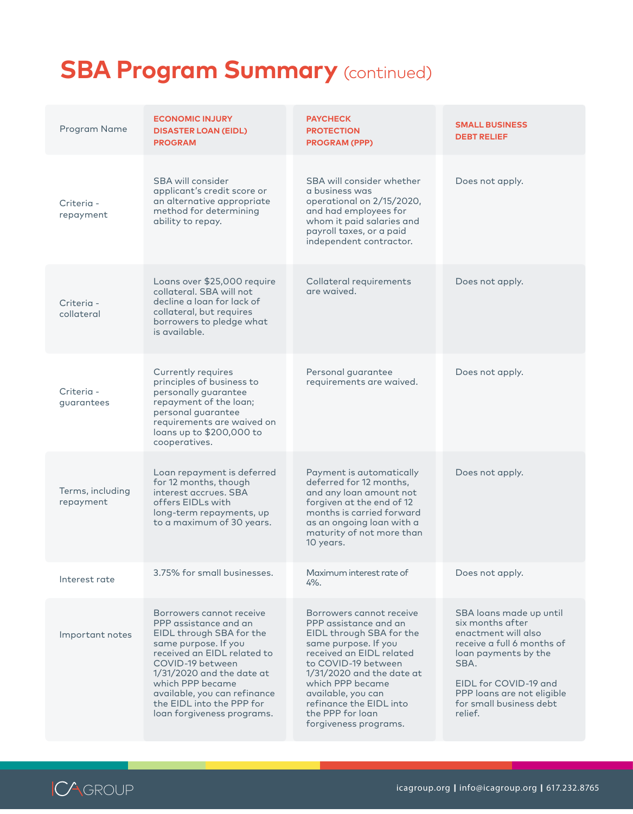## **SBA Program Summary (continued)**

| Program Name                  | <b>ECONOMIC INJURY</b><br><b>DISASTER LOAN (EIDL)</b><br><b>PROGRAM</b>                                                                                                                                                                                                                                | <b>PAYCHECK</b><br><b>PROTECTION</b><br><b>PROGRAM (PPP)</b>                                                                                                                                                                                                                                              | <b>SMALL BUSINESS</b><br><b>DEBT RELIEF</b>                                                                                                                                                                                   |
|-------------------------------|--------------------------------------------------------------------------------------------------------------------------------------------------------------------------------------------------------------------------------------------------------------------------------------------------------|-----------------------------------------------------------------------------------------------------------------------------------------------------------------------------------------------------------------------------------------------------------------------------------------------------------|-------------------------------------------------------------------------------------------------------------------------------------------------------------------------------------------------------------------------------|
| Criteria -<br>repayment       | SBA will consider<br>applicant's credit score or<br>an alternative appropriate<br>method for determining<br>ability to repay.                                                                                                                                                                          | SBA will consider whether<br>a business was<br>operational on 2/15/2020,<br>and had employees for<br>whom it paid salaries and<br>payroll taxes, or a paid<br>independent contractor.                                                                                                                     | Does not apply.                                                                                                                                                                                                               |
| Criteria -<br>collateral      | Loans over \$25,000 require<br>collateral. SBA will not<br>decline a loan for lack of<br>collateral, but requires<br>borrowers to pledge what<br>is available.                                                                                                                                         | Collateral requirements<br>are waived.                                                                                                                                                                                                                                                                    | Does not apply.                                                                                                                                                                                                               |
| Criteria -<br>guarantees      | Currently requires<br>principles of business to<br>personally guarantee<br>repayment of the loan;<br>personal guarantee<br>requirements are waived on<br>loans up to \$200,000 to<br>cooperatives.                                                                                                     | Personal guarantee<br>requirements are waived.                                                                                                                                                                                                                                                            | Does not apply.                                                                                                                                                                                                               |
| Terms, including<br>repayment | Loan repayment is deferred<br>for 12 months, though<br>interest accrues. SBA<br>offers EIDLs with<br>long-term repayments, up<br>to a maximum of 30 years.                                                                                                                                             | Payment is automatically<br>deferred for 12 months,<br>and any loan amount not<br>forgiven at the end of 12<br>months is carried forward<br>as an ongoing loan with a<br>maturity of not more than<br>10 years.                                                                                           | Does not apply.                                                                                                                                                                                                               |
| Interest rate                 | 3.75% for small businesses.                                                                                                                                                                                                                                                                            | Maximum interest rate of<br>$4\%$ .                                                                                                                                                                                                                                                                       | Does not apply.                                                                                                                                                                                                               |
| Important notes               | Borrowers cannot receive<br>PPP assistance and an<br>EIDL through SBA for the<br>same purpose. If you<br>received an EIDL related to<br>COVID-19 between<br>$1/31/2020$ and the date at<br>which PPP became<br>available, you can refinance<br>the EIDL into the PPP for<br>loan forgiveness programs. | Borrowers cannot receive<br>PPP assistance and an<br>EIDL through SBA for the<br>same purpose. If you<br>received an EIDL related<br>to COVID-19 between<br>$1/31/2020$ and the date at<br>which PPP became<br>available, you can<br>refinance the EIDL into<br>the PPP for loan<br>forgiveness programs. | SBA loans made up until<br>six months after<br>enactment will also<br>receive a full 6 months of<br>loan payments by the<br>SBA.<br>EIDL for COVID-19 and<br>PPP loans are not eligible<br>for small business debt<br>relief. |